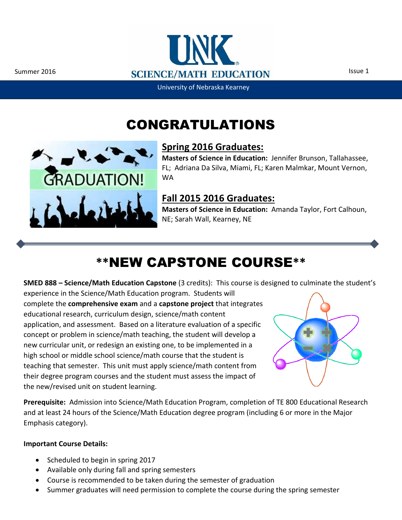Ĩ



University of Nebraska Kearney

### CONGRATULATIONS



#### **Spring 2016 Graduates:**

**Masters of Science in Education:** Jennifer Brunson, Tallahassee, FL; Adriana Da Silva, Miami, FL; Karen Malmkar, Mount Vernon, WA

#### **Fall 2015 2016 Graduates:**

**Masters of Science in Education:** Amanda Taylor, Fort Calhoun, NE; Sarah Wall, Kearney, NE

## **\*\***NEW CAPSTONE COURSE**\*\***

**SMED 888 – Science/Math Education Capstone** (3 credits): This course is designed to culminate the student's

experience in the Science/Math Education program. Students will complete the **comprehensive exam** and a **capstone project** that integrates educational research, curriculum design, science/math content application, and assessment. Based on a literature evaluation of a specific concept or problem in science/math teaching, the student will develop a new curricular unit, or redesign an existing one, to be implemented in a high school or middle school science/math course that the student is teaching that semester. This unit must apply science/math content from their degree program courses and the student must assess the impact of the new/revised unit on student learning.



**Prerequisite:** Admission into Science/Math Education Program, completion of TE 800 Educational Research and at least 24 hours of the Science/Math Education degree program (including 6 or more in the Major Emphasis category).

#### **Important Course Details:**

- Scheduled to begin in spring 2017
- Available only during fall and spring semesters
- Course is recommended to be taken during the semester of graduation
- Summer graduates will need permission to complete the course during the spring semester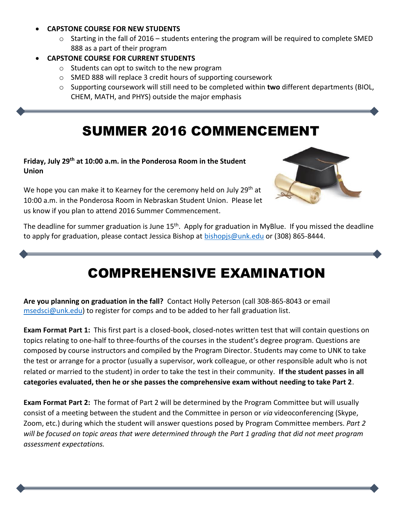#### **CAPSTONE COURSE FOR NEW STUDENTS**

 $\circ$  Starting in the fall of 2016 – students entering the program will be required to complete SMED 888 as a part of their program

#### **CAPSTONE COURSE FOR CURRENT STUDENTS**

- o Students can opt to switch to the new program
- o SMED 888 will replace 3 credit hours of supporting coursework
- o Supporting coursework will still need to be completed within **two** different departments (BIOL, CHEM, MATH, and PHYS) outside the major emphasis

## SUMMER 2016 COMMENCEMENT

#### **Friday, July 29th at 10:00 a.m. in the Ponderosa Room in the Student Union**

We hope you can make it to Kearney for the ceremony held on July 29<sup>th</sup> at 10:00 a.m. in the Ponderosa Room in Nebraskan Student Union. Please let us know if you plan to attend 2016 Summer Commencement.



The deadline for summer graduation is June 15<sup>th</sup>. Apply for graduation in MyBlue. If you missed the deadline to apply for graduation, please contact Jessica Bishop at **bishopis@unk.edu** or (308) 865-8444.

### COMPREHENSIVE EXAMINATION

**Are you planning on graduation in the fall?** Contact Holly Peterson (call 308-865-8043 or email [msedsci@unk.edu\)](mailto:msedsci@unk.edu) to register for comps and to be added to her fall graduation list.

**Exam Format Part 1:** This first part is a closed-book, closed-notes written test that will contain questions on topics relating to one-half to three-fourths of the courses in the student's degree program. Questions are composed by course instructors and compiled by the Program Director. Students may come to UNK to take the test or arrange for a proctor (usually a supervisor, work colleague, or other responsible adult who is not related or married to the student) in order to take the test in their community. **If the student passes in all categories evaluated, then he or she passes the comprehensive exam without needing to take Part 2**.

**Exam Format Part 2:** The format of Part 2 will be determined by the Program Committee but will usually consist of a meeting between the student and the Committee in person or *via* videoconferencing (Skype, Zoom, etc.) during which the student will answer questions posed by Program Committee members. *Part 2 will be focused on topic areas that were determined through the Part 1 grading that did not meet program assessment expectations.*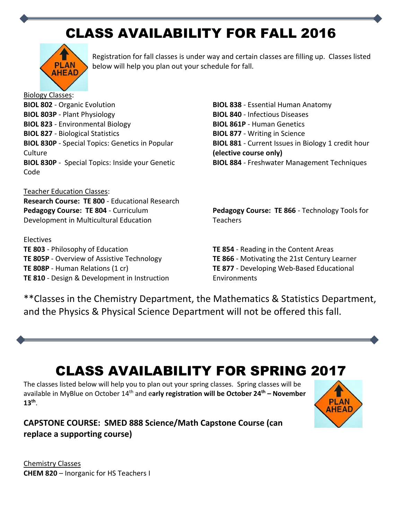# CLASS AVAILABILITY FOR FALL 2016



Registration for fall classes is under way and certain classes are filling up. Classes listed below will help you plan out your schedule for fall.

Biology Classes: **BIOL 802** - [Organic Evolution](http://www.unk.edu/academics/science-math-ed/_files/biol802syll.pdf) **BIOL 803P** - Plant Physiology **BIOL 823** - [Environmental Biology](http://www.unk.edu/academics/science-math-ed/_files/biol823syll.pdf) **BIOL 827** - [Biological Statistics](http://www.unk.edu/academics/science-math-ed/_files/biol827syll.pdf) **BIOL 830P** - Special Topics: Genetics in Popular **Culture BIOL 830P** - Special Topics: Inside your Genetic Code

Teacher Education Classes: **Research Course: TE 800** - Educational Research **Pedagogy Course: TE 804** - [Curriculum](http://www.unk.edu/academics/science-math-ed/_files/te804syll.pdf)  [Development in Multicultural Education](http://www.unk.edu/academics/science-math-ed/_files/te804syll.pdf)

Electives **TE 803** - [Philosophy of Education](http://www.unk.edu/academics/science-math-ed/_files/te803syll.pdf) **TE 805P** - [Overview of Assistive Technology](http://www.unk.edu/academics/science-math-ed/_files/te805psyll.pdf) **TE 808P** - [Human Relations](http://www.unk.edu/academics/science-math-ed/_files/te808psyll.pdf) (1 cr) **TE 810** - Design & Development in Instruction **BIOL 838** - [Essential Human Anatomy](http://www.unk.edu/academics/science-math-ed/_files/biol838syll.pdf) **BIOL 840** - [Infectious Diseases](http://www.unk.edu/academics/science-math-ed/_files/biol840syll.pdf) **BIOL 861P** - [Human Genetics](http://www.unk.edu/academics/science-math-ed/_files/biol861psyll.pdf) **BIOL 877** - [Writing in Science](http://www.unk.edu/academics/science-math-ed/_files/biol877syll.pdf) **BIOL 881** - [Current Issues in Biology](http://www.unk.edu/academics/science-math-ed/_files/biol881syll.pdf) 1 credit hour **(elective course only) BIOL 884** - [Freshwater Management Techniques](http://www.unk.edu/academics/science-math-ed/_files/biol884syll.pdf)

**Pedagogy Course: TE 866** - [Technology Tools for](http://www.unk.edu/academics/science-math-ed/_files/te886psyll.pdf)  **[Teachers](http://www.unk.edu/academics/science-math-ed/_files/te886psyll.pdf)** 

**TE 854** - [Reading in the Content Areas](http://www.unk.edu/academics/science-math-ed/_files/te854syll.pdf) **TE 866** - Motivating the 21st Century Learner **TE 877** - Developing Web-Based Educational Environments

\*\*Classes in the Chemistry Department, the Mathematics & Statistics Department, and the Physics & Physical Science Department will not be offered this fall.

## CLASS AVAILABILITY FOR SPRING 2017

The classes listed below will help you to plan out your spring classes. Spring classes will be available in MyBlue on October 14th and e**arly registration will be October 24 th – November 13th** .





Chemistry Classes **CHEM 820** – Inorganic for HS Teachers I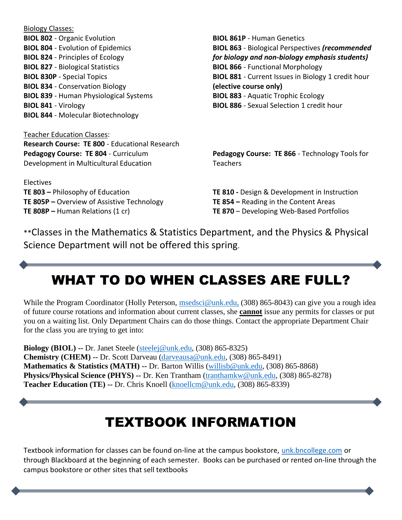| <b>BIOL 861P - Human Genetics</b>                         |
|-----------------------------------------------------------|
| <b>BIOL 863</b> - Biological Perspectives (recommended    |
| for biology and non-biology emphasis students)            |
| <b>BIOL 866 - Functional Morphology</b>                   |
| <b>BIOL 881</b> - Current Issues in Biology 1 credit hour |
| (elective course only)                                    |
| <b>BIOL 883 - Aquatic Trophic Ecology</b>                 |
| <b>BIOL 886</b> - Sexual Selection 1 credit hour          |
|                                                           |
|                                                           |
|                                                           |
| Pedagogy Course: TE 866 - Technology Tools for            |
| <b>Teachers</b>                                           |
|                                                           |
| TE 810 - Design & Development in Instruction              |
| <b>TE 854 - Reading in the Content Areas</b>              |
|                                                           |

Biology Classes:

**TE 808P –** Human [Relations](http://www.unk.edu/academics/science-math-ed/_files/te808psyll.pdf) (1 cr)

\*\*Classes in the Mathematics & Statistics Department, and the Physics & Physical Science Department will not be offered this spring.

### WHAT TO DO WHEN CLASSES ARE FULL?

**TE 870** – Developing Web-Based Portfolios

While the Program Coordinator (Holly Peterson, [msedsci@unk.edu,](mailto:exstromc@unk.edu,) (308) 865-8043) can give you a rough idea of future course rotations and information about current classes, she **cannot** issue any permits for classes or put you on a waiting list. Only Department Chairs can do those things. Contact the appropriate Department Chair for the class you are trying to get into:

**Biology (BIOL) --** Dr. Janet Steele [\(steelej@unk.edu,](mailto:steelej@unk.edu) (308) 865-8325) **Chemistry (CHEM) --** Dr. Scott Darveau [\(darveausa@unk.edu,](mailto:darveausa@unk.edu) (308) 865-8491) **Mathematics & Statistics (MATH) --** Dr. Barton Willis [\(willisb@unk.edu,](mailto:willisb@unk.edu) (308) 865-8868) **Physics/Physical Science (PHYS) --** Dr. Ken Trantham [\(tranthamkw@unk.edu,](mailto:tranthamkw@unk.edu) (308) 865-8278) **Teacher Education (TE) --** Dr. Chris Knoell [\(knoellcm@unk.edu,](mailto:knoellcm@unk.edu) (308) 865-8339)

#### TEXTBOOK INFORMATION

Textbook information for classes can be found on-line at the campus bookstore, [unk.bncollege.com](http://unk.bncollege.com/webapp/wcs/stores/servlet/BNCBHomePage?storeId=87923&catalogId=10001&langId=-1) or through Blackboard at the beginning of each semester. Books can be purchased or rented on-line through the campus bookstore or other sites that sell textbooks